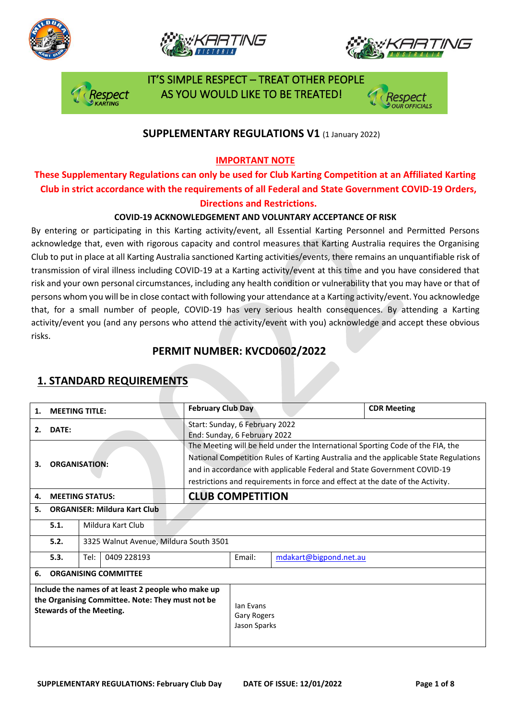







 IT'S SIMPLE RESPECT – TREAT OTHER PEOPLE AS YOU WOULD LIKE TO BE TREATED!

### **SUPPLEMENTARY REGULATIONS V1** (1 January 2022)

### **IMPORTANT NOTE**

## **These Supplementary Regulations can only be used for Club Karting Competition at an Affiliated Karting Club in strict accordance with the requirements of all Federal and State Government COVID-19 Orders, Directions and Restrictions.**

### **COVID-19 ACKNOWLEDGEMENT AND VOLUNTARY ACCEPTANCE OF RISK**

By entering or participating in this Karting activity/event, all Essential Karting Personnel and Permitted Persons acknowledge that, even with rigorous capacity and control measures that Karting Australia requires the Organising Club to put in place at all Karting Australia sanctioned Karting activities/events, there remains an unquantifiable risk of transmission of viral illness including COVID-19 at a Karting activity/event at this time and you have considered that risk and your own personal circumstances, including any health condition or vulnerability that you may have or that of persons whom you will be in close contact with following your attendance at a Karting activity/event. You acknowledge that, for a small number of people, COVID-19 has very serious health consequences. By attending a Karting activity/event you (and any persons who attend the activity/event with you) acknowledge and accept these obvious risks.

### **PERMIT NUMBER: KVCD0602/2022**

| 1. | <b>MEETING TITLE:</b>                                                                                                                     |                     |  | <b>February Club Day</b>                                                                                                                                                                                                                                                                                                            |                                          |                        | <b>CDR Meeting</b> |  |
|----|-------------------------------------------------------------------------------------------------------------------------------------------|---------------------|--|-------------------------------------------------------------------------------------------------------------------------------------------------------------------------------------------------------------------------------------------------------------------------------------------------------------------------------------|------------------------------------------|------------------------|--------------------|--|
| 2. | <b>DATE:</b>                                                                                                                              |                     |  | Start: Sunday, 6 February 2022<br>End: Sunday, 6 February 2022                                                                                                                                                                                                                                                                      |                                          |                        |                    |  |
| З. | <b>ORGANISATION:</b>                                                                                                                      |                     |  | The Meeting will be held under the International Sporting Code of the FIA, the<br>National Competition Rules of Karting Australia and the applicable State Regulations<br>and in accordance with applicable Federal and State Government COVID-19<br>restrictions and requirements in force and effect at the date of the Activity. |                                          |                        |                    |  |
| 4. | <b>MEETING STATUS:</b>                                                                                                                    |                     |  | <b>CLUB COMPETITION</b>                                                                                                                                                                                                                                                                                                             |                                          |                        |                    |  |
| 5. | <b>ORGANISER: Mildura Kart Club</b>                                                                                                       |                     |  |                                                                                                                                                                                                                                                                                                                                     |                                          |                        |                    |  |
|    | 5.1.                                                                                                                                      | Mildura Kart Club   |  |                                                                                                                                                                                                                                                                                                                                     |                                          |                        |                    |  |
|    | 5.2.<br>3325 Walnut Avenue, Mildura South 3501                                                                                            |                     |  |                                                                                                                                                                                                                                                                                                                                     |                                          |                        |                    |  |
|    | 5.3.                                                                                                                                      | Tel:<br>0409 228193 |  |                                                                                                                                                                                                                                                                                                                                     | Email:                                   | mdakart@bigpond.net.au |                    |  |
| 6. | <b>ORGANISING COMMITTEE</b>                                                                                                               |                     |  |                                                                                                                                                                                                                                                                                                                                     |                                          |                        |                    |  |
|    | Include the names of at least 2 people who make up<br>the Organising Committee. Note: They must not be<br><b>Stewards of the Meeting.</b> |                     |  |                                                                                                                                                                                                                                                                                                                                     | lan Evans<br>Gary Rogers<br>Jason Sparks |                        |                    |  |

### **1. STANDARD REQUIREMENTS**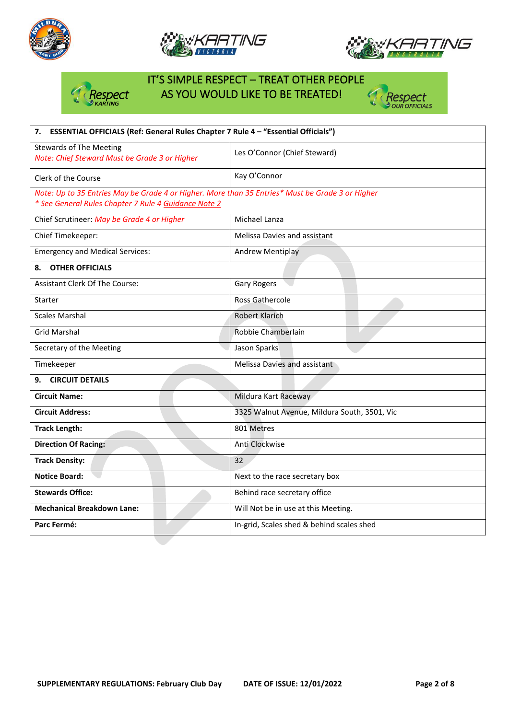







# IT'S SIMPLE RESPECT – TREAT OTHER PEOPLE Respect AS YOU WOULD LIKE TO BE TREATED!



| 7. ESSENTIAL OFFICIALS (Ref: General Rules Chapter 7 Rule 4 - "Essential Officials")             |                                              |  |  |  |  |
|--------------------------------------------------------------------------------------------------|----------------------------------------------|--|--|--|--|
| <b>Stewards of The Meeting</b><br>Note: Chief Steward Must be Grade 3 or Higher                  | Les O'Connor (Chief Steward)                 |  |  |  |  |
| Clerk of the Course                                                                              | Kay O'Connor                                 |  |  |  |  |
| Note: Up to 35 Entries May be Grade 4 or Higher. More than 35 Entries* Must be Grade 3 or Higher |                                              |  |  |  |  |
| * See General Rules Chapter 7 Rule 4 Guidance Note 2                                             |                                              |  |  |  |  |
| Chief Scrutineer: May be Grade 4 or Higher                                                       | Michael Lanza                                |  |  |  |  |
| Chief Timekeeper:                                                                                | Melissa Davies and assistant                 |  |  |  |  |
| <b>Emergency and Medical Services:</b>                                                           | <b>Andrew Mentiplay</b>                      |  |  |  |  |
| <b>OTHER OFFICIALS</b><br>8.                                                                     |                                              |  |  |  |  |
| <b>Assistant Clerk Of The Course:</b>                                                            | <b>Gary Rogers</b>                           |  |  |  |  |
| Starter                                                                                          | Ross Gathercole                              |  |  |  |  |
| <b>Scales Marshal</b>                                                                            | <b>Robert Klarich</b>                        |  |  |  |  |
| <b>Grid Marshal</b>                                                                              | Robbie Chamberlain                           |  |  |  |  |
| Secretary of the Meeting                                                                         | Jason Sparks                                 |  |  |  |  |
| Timekeeper                                                                                       | Melissa Davies and assistant                 |  |  |  |  |
| <b>CIRCUIT DETAILS</b><br>9.                                                                     |                                              |  |  |  |  |
| <b>Circuit Name:</b>                                                                             | Mildura Kart Raceway                         |  |  |  |  |
| <b>Circuit Address:</b>                                                                          | 3325 Walnut Avenue, Mildura South, 3501, Vic |  |  |  |  |
| <b>Track Length:</b>                                                                             | 801 Metres                                   |  |  |  |  |
| <b>Direction Of Racing:</b>                                                                      | Anti Clockwise                               |  |  |  |  |
| <b>Track Density:</b>                                                                            | 32                                           |  |  |  |  |
| <b>Notice Board:</b>                                                                             | Next to the race secretary box               |  |  |  |  |
| <b>Stewards Office:</b>                                                                          | Behind race secretary office                 |  |  |  |  |
| <b>Mechanical Breakdown Lane:</b>                                                                | Will Not be in use at this Meeting.          |  |  |  |  |
| Parc Fermé:                                                                                      | In-grid, Scales shed & behind scales shed    |  |  |  |  |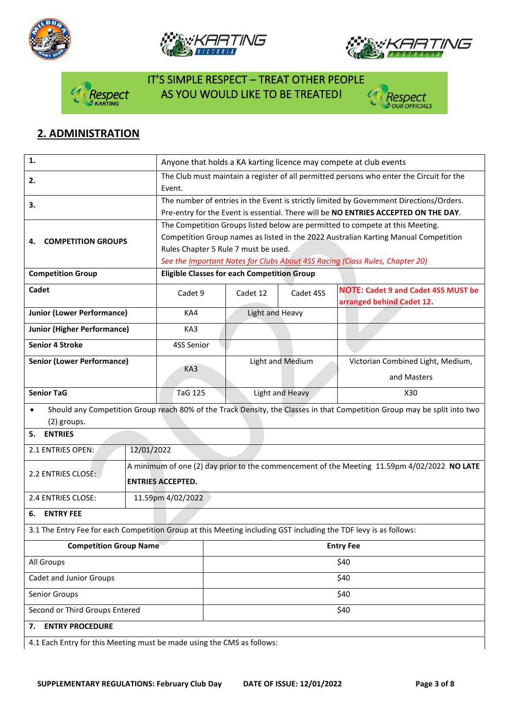







# IT'S SIMPLE RESPECT – TREAT OTHER PEOPLE **Dect AS YOU WOULD LIKE TO BE TREATED!**



## **2. ADMINISTRATION**

| 1.                                                                                                               | Anyone that holds a KA karting licence may compete at club events                                  |                                                                                                                          |                  |                                                                                         |                                                                                     |  |  |
|------------------------------------------------------------------------------------------------------------------|----------------------------------------------------------------------------------------------------|--------------------------------------------------------------------------------------------------------------------------|------------------|-----------------------------------------------------------------------------------------|-------------------------------------------------------------------------------------|--|--|
| 2.                                                                                                               | The Club must maintain a register of all permitted persons who enter the Circuit for the<br>Event. |                                                                                                                          |                  |                                                                                         |                                                                                     |  |  |
| 3.                                                                                                               |                                                                                                    |                                                                                                                          |                  | The number of entries in the Event is strictly limited by Government Directions/Orders. |                                                                                     |  |  |
|                                                                                                                  |                                                                                                    |                                                                                                                          |                  |                                                                                         | Pre-entry for the Event is essential. There will be NO ENTRIES ACCEPTED ON THE DAY. |  |  |
|                                                                                                                  |                                                                                                    |                                                                                                                          |                  |                                                                                         | The Competition Groups listed below are permitted to compete at this Meeting.       |  |  |
| <b>COMPETITION GROUPS</b><br>4.                                                                                  |                                                                                                    | Competition Group names as listed in the 2022 Australian Karting Manual Competition                                      |                  |                                                                                         |                                                                                     |  |  |
|                                                                                                                  |                                                                                                    | Rules Chapter 5 Rule 7 must be used.                                                                                     |                  |                                                                                         |                                                                                     |  |  |
|                                                                                                                  |                                                                                                    | See the Important Notes for Clubs About 4SS Racing (Class Rules, Chapter 20)                                             |                  |                                                                                         |                                                                                     |  |  |
| <b>Competition Group</b>                                                                                         |                                                                                                    | <b>Eligible Classes for each Competition Group</b>                                                                       |                  |                                                                                         |                                                                                     |  |  |
| Cadet                                                                                                            |                                                                                                    | Cadet 9                                                                                                                  | Cadet 12         | Cadet 4SS                                                                               | <b>NOTE: Cadet 9 and Cadet 4SS MUST be</b><br>arranged behind Cadet 12.             |  |  |
| <b>Junior (Lower Performance)</b>                                                                                |                                                                                                    | KA4                                                                                                                      | Light and Heavy  |                                                                                         |                                                                                     |  |  |
| <b>Junior (Higher Performance)</b>                                                                               |                                                                                                    | KA3                                                                                                                      |                  |                                                                                         |                                                                                     |  |  |
| <b>Senior 4 Stroke</b>                                                                                           |                                                                                                    | 4SS Senior                                                                                                               |                  |                                                                                         |                                                                                     |  |  |
| <b>Senior (Lower Performance)</b>                                                                                |                                                                                                    |                                                                                                                          | Light and Medium |                                                                                         | Victorian Combined Light, Medium,                                                   |  |  |
|                                                                                                                  |                                                                                                    | KA3                                                                                                                      |                  |                                                                                         | and Masters                                                                         |  |  |
| <b>Senior TaG</b>                                                                                                |                                                                                                    | TaG 125                                                                                                                  |                  | Light and Heavy                                                                         | X30                                                                                 |  |  |
| $\bullet$                                                                                                        |                                                                                                    | Should any Competition Group reach 80% of the Track Density, the Classes in that Competition Group may be split into two |                  |                                                                                         |                                                                                     |  |  |
| (2) groups.                                                                                                      |                                                                                                    |                                                                                                                          |                  |                                                                                         |                                                                                     |  |  |
| <b>ENTRIES</b><br>5.                                                                                             |                                                                                                    |                                                                                                                          |                  |                                                                                         |                                                                                     |  |  |
| 2.1 ENTRIES OPEN:                                                                                                | 12/01/2022                                                                                         |                                                                                                                          |                  |                                                                                         |                                                                                     |  |  |
| 2.2 ENTRIES CLOSE:                                                                                               |                                                                                                    | A minimum of one (2) day prior to the commencement of the Meeting 11.59pm 4/02/2022 NO LATE                              |                  |                                                                                         |                                                                                     |  |  |
|                                                                                                                  |                                                                                                    | <b>ENTRIES ACCEPTED.</b>                                                                                                 |                  |                                                                                         |                                                                                     |  |  |
| 2.4 ENTRIES CLOSE:                                                                                               |                                                                                                    | 11.59pm 4/02/2022                                                                                                        |                  |                                                                                         |                                                                                     |  |  |
| <b>ENTRY FEE</b><br>6.                                                                                           |                                                                                                    |                                                                                                                          |                  |                                                                                         |                                                                                     |  |  |
| 3.1 The Entry Fee for each Competition Group at this Meeting including GST including the TDF levy is as follows: |                                                                                                    |                                                                                                                          |                  |                                                                                         |                                                                                     |  |  |
| <b>Competition Group Name</b>                                                                                    |                                                                                                    |                                                                                                                          | <b>Entry Fee</b> |                                                                                         |                                                                                     |  |  |
| All Groups                                                                                                       |                                                                                                    | \$40                                                                                                                     |                  |                                                                                         |                                                                                     |  |  |
| Cadet and Junior Groups                                                                                          | \$40                                                                                               |                                                                                                                          |                  |                                                                                         |                                                                                     |  |  |
| Senior Groups                                                                                                    |                                                                                                    | \$40                                                                                                                     |                  |                                                                                         |                                                                                     |  |  |
| Second or Third Groups Entered                                                                                   |                                                                                                    |                                                                                                                          | \$40             |                                                                                         |                                                                                     |  |  |
| <b>ENTRY PROCEDURE</b><br>7.                                                                                     |                                                                                                    |                                                                                                                          |                  |                                                                                         |                                                                                     |  |  |
| 4.1 Each Entry for this Meeting must be made using the CMS as follows:                                           |                                                                                                    |                                                                                                                          |                  |                                                                                         |                                                                                     |  |  |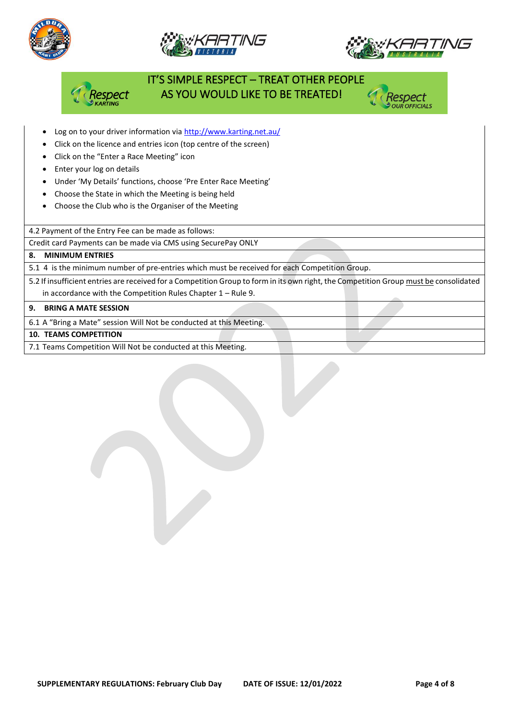





# IT'S SIMPLE RESPECT – TREAT OTHER PEOPLE AS YOU WOULD LIKE TO BE TREATED!

- Log on to your driver information vi[a http://www.karting.net.au/](http://www.karting.net.au/)
- Click on the licence and entries icon (top centre of the screen)
- Click on the "Enter a Race Meeting" icon
- Enter your log on details
- Under 'My Details' functions, choose 'Pre Enter Race Meeting'
- Choose the State in which the Meeting is being held
- Choose the Club who is the Organiser of the Meeting

4.2 Payment of the Entry Fee can be made as follows:

Credit card Payments can be made via CMS using SecurePay ONLY

#### **8. MINIMUM ENTRIES**

5.1 4 is the minimum number of pre-entries which must be received for each Competition Group.

5.2 If insufficient entries are received for a Competition Group to form in its own right, the Competition Group must be consolidated in accordance with the Competition Rules Chapter 1 – Rule 9.

#### **9. BRING A MATE SESSION**

6.1 A "Bring a Mate" session Will Not be conducted at this Meeting.

#### **10. TEAMS COMPETITION**

7.1 Teams Competition Will Not be conducted at this Meeting.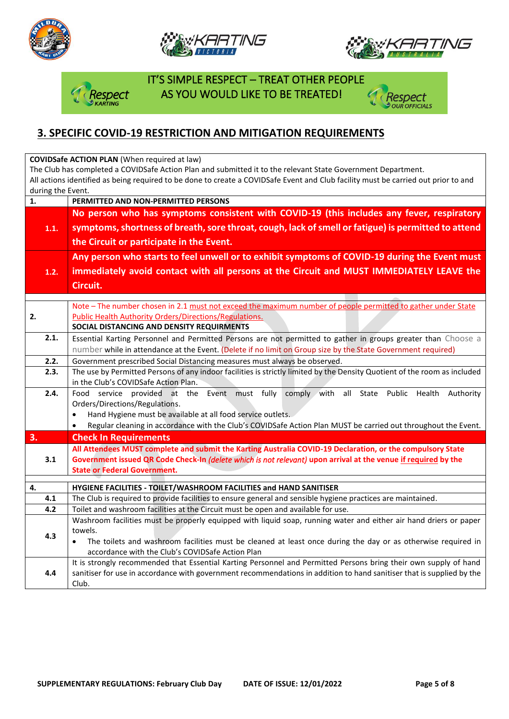







 IT'S SIMPLE RESPECT – TREAT OTHER PEOPLE **Dect AS YOU WOULD LIKE TO BE TREATED!** 



## **3. SPECIFIC COVID-19 RESTRICTION AND MITIGATION REQUIREMENTS**

**COVIDSafe ACTION PLAN** (When required at law)

The Club has completed a COVIDSafe Action Plan and submitted it to the relevant State Government Department. All actions identified as being required to be done to create a COVIDSafe Event and Club facility must be carried out prior to and during the Event.

| $\mathbf{1}$ .                                                                                                        | PERMITTED AND NON-PERMITTED PERSONS                                                                                                       |  |  |  |  |  |  |
|-----------------------------------------------------------------------------------------------------------------------|-------------------------------------------------------------------------------------------------------------------------------------------|--|--|--|--|--|--|
|                                                                                                                       | No person who has symptoms consistent with COVID-19 (this includes any fever, respiratory                                                 |  |  |  |  |  |  |
| 1.1.                                                                                                                  | symptoms, shortness of breath, sore throat, cough, lack of smell or fatigue) is permitted to attend                                       |  |  |  |  |  |  |
|                                                                                                                       | the Circuit or participate in the Event.                                                                                                  |  |  |  |  |  |  |
|                                                                                                                       | Any person who starts to feel unwell or to exhibit symptoms of COVID-19 during the Event must                                             |  |  |  |  |  |  |
| 1.2.                                                                                                                  | immediately avoid contact with all persons at the Circuit and MUST IMMEDIATELY LEAVE the                                                  |  |  |  |  |  |  |
|                                                                                                                       | Circuit.                                                                                                                                  |  |  |  |  |  |  |
|                                                                                                                       |                                                                                                                                           |  |  |  |  |  |  |
|                                                                                                                       | Note - The number chosen in 2.1 must not exceed the maximum number of people permitted to gather under State                              |  |  |  |  |  |  |
| 2.                                                                                                                    | <b>Public Health Authority Orders/Directions/Regulations.</b>                                                                             |  |  |  |  |  |  |
|                                                                                                                       | SOCIAL DISTANCING AND DENSITY REQUIRMENTS                                                                                                 |  |  |  |  |  |  |
| 2.1.<br>Essential Karting Personnel and Permitted Persons are not permitted to gather in groups greater than Choose a |                                                                                                                                           |  |  |  |  |  |  |
|                                                                                                                       | number while in attendance at the Event. (Delete if no limit on Group size by the State Government required)                              |  |  |  |  |  |  |
| 2.2.                                                                                                                  | Government prescribed Social Distancing measures must always be observed.                                                                 |  |  |  |  |  |  |
| 2.3.                                                                                                                  | The use by Permitted Persons of any indoor facilities is strictly limited by the Density Quotient of the room as included                 |  |  |  |  |  |  |
| 2.4.                                                                                                                  | in the Club's COVIDSafe Action Plan.                                                                                                      |  |  |  |  |  |  |
|                                                                                                                       | Event must fully<br>comply with all<br>State Public Health<br>Food service provided at the<br>Authority<br>Orders/Directions/Regulations. |  |  |  |  |  |  |
|                                                                                                                       | Hand Hygiene must be available at all food service outlets.<br>$\bullet$                                                                  |  |  |  |  |  |  |
|                                                                                                                       | Regular cleaning in accordance with the Club's COVIDSafe Action Plan MUST be carried out throughout the Event.<br>$\bullet$               |  |  |  |  |  |  |
| 3.                                                                                                                    | <b>Check In Requirements</b>                                                                                                              |  |  |  |  |  |  |
|                                                                                                                       | All Attendees MUST complete and submit the Karting Australia COVID-19 Declaration, or the compulsory State                                |  |  |  |  |  |  |
| 3.1                                                                                                                   | Government issued QR Code Check-In (delete which is not relevant) upon arrival at the venue if required by the                            |  |  |  |  |  |  |
|                                                                                                                       | <b>State or Federal Government.</b>                                                                                                       |  |  |  |  |  |  |
| 4.                                                                                                                    | HYGIENE FACILITIES - TOILET/WASHROOM FACILITIES and HAND SANITISER                                                                        |  |  |  |  |  |  |
| 4.1                                                                                                                   | The Club is required to provide facilities to ensure general and sensible hygiene practices are maintained.                               |  |  |  |  |  |  |
| 4.2                                                                                                                   | Toilet and washroom facilities at the Circuit must be open and available for use.                                                         |  |  |  |  |  |  |
|                                                                                                                       | Washroom facilities must be properly equipped with liquid soap, running water and either air hand driers or paper                         |  |  |  |  |  |  |
| 4.3                                                                                                                   | towels.                                                                                                                                   |  |  |  |  |  |  |
|                                                                                                                       | The toilets and washroom facilities must be cleaned at least once during the day or as otherwise required in<br>$\bullet$                 |  |  |  |  |  |  |
|                                                                                                                       | accordance with the Club's COVIDSafe Action Plan                                                                                          |  |  |  |  |  |  |
|                                                                                                                       | It is strongly recommended that Essential Karting Personnel and Permitted Persons bring their own supply of hand                          |  |  |  |  |  |  |
| 4.4                                                                                                                   | sanitiser for use in accordance with government recommendations in addition to hand sanitiser that is supplied by the                     |  |  |  |  |  |  |
|                                                                                                                       | Club.                                                                                                                                     |  |  |  |  |  |  |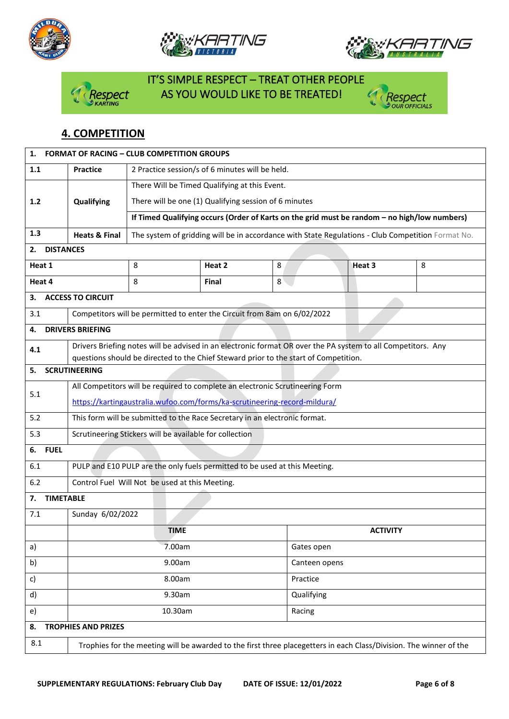







# IT'S SIMPLE RESPECT – TREAT OTHER PEOPLE spect AS YOU WOULD LIKE TO BE TREATED!



## **4. COMPETITION**

| 1.                     | <b>FORMAT OF RACING - CLUB COMPETITION GROUPS</b>                                                                  |                                                                                                   |              |   |                                                                                                              |   |  |
|------------------------|--------------------------------------------------------------------------------------------------------------------|---------------------------------------------------------------------------------------------------|--------------|---|--------------------------------------------------------------------------------------------------------------|---|--|
| 1.1                    | 2 Practice session/s of 6 minutes will be held.<br><b>Practice</b>                                                 |                                                                                                   |              |   |                                                                                                              |   |  |
|                        |                                                                                                                    | There Will be Timed Qualifying at this Event.                                                     |              |   |                                                                                                              |   |  |
| $1.2$                  | Qualifying                                                                                                         | There will be one (1) Qualifying session of 6 minutes                                             |              |   |                                                                                                              |   |  |
|                        |                                                                                                                    | If Timed Qualifying occurs (Order of Karts on the grid must be random - no high/low numbers)      |              |   |                                                                                                              |   |  |
| 1.3                    | <b>Heats &amp; Final</b>                                                                                           | The system of gridding will be in accordance with State Regulations - Club Competition Format No. |              |   |                                                                                                              |   |  |
| <b>DISTANCES</b><br>2. |                                                                                                                    |                                                                                                   |              |   |                                                                                                              |   |  |
| Heat 1                 |                                                                                                                    | 8                                                                                                 | Heat 2       | 8 | Heat 3                                                                                                       | 8 |  |
| Heat 4                 |                                                                                                                    | 8                                                                                                 | <b>Final</b> | 8 |                                                                                                              |   |  |
| з.                     | <b>ACCESS TO CIRCUIT</b>                                                                                           |                                                                                                   |              |   |                                                                                                              |   |  |
| 3.1                    |                                                                                                                    | Competitors will be permitted to enter the Circuit from 8am on 6/02/2022                          |              |   |                                                                                                              |   |  |
| 4.                     | <b>DRIVERS BRIEFING</b>                                                                                            |                                                                                                   |              |   |                                                                                                              |   |  |
| 4.1                    |                                                                                                                    |                                                                                                   |              |   | Drivers Briefing notes will be advised in an electronic format OR over the PA system to all Competitors. Any |   |  |
|                        |                                                                                                                    | questions should be directed to the Chief Steward prior to the start of Competition.              |              |   |                                                                                                              |   |  |
| 5.                     | <b>SCRUTINEERING</b>                                                                                               |                                                                                                   |              |   |                                                                                                              |   |  |
| 5.1                    | All Competitors will be required to complete an electronic Scrutineering Form                                      |                                                                                                   |              |   |                                                                                                              |   |  |
|                        | https://kartingaustralia.wufoo.com/forms/ka-scrutineering-record-mildura/                                          |                                                                                                   |              |   |                                                                                                              |   |  |
| 5.2                    | This form will be submitted to the Race Secretary in an electronic format.                                         |                                                                                                   |              |   |                                                                                                              |   |  |
| 5.3                    | Scrutineering Stickers will be available for collection                                                            |                                                                                                   |              |   |                                                                                                              |   |  |
| <b>FUEL</b><br>6.      |                                                                                                                    |                                                                                                   |              |   |                                                                                                              |   |  |
| 6.1                    | PULP and E10 PULP are the only fuels permitted to be used at this Meeting.                                         |                                                                                                   |              |   |                                                                                                              |   |  |
| 6.2                    | Control Fuel Will Not be used at this Meeting.                                                                     |                                                                                                   |              |   |                                                                                                              |   |  |
| <b>TIMETABLE</b><br>7. |                                                                                                                    |                                                                                                   |              |   |                                                                                                              |   |  |
| 7.1                    | Sunday 6/02/2022                                                                                                   |                                                                                                   |              |   |                                                                                                              |   |  |
|                        |                                                                                                                    | <b>TIME</b>                                                                                       |              |   | <b>ACTIVITY</b>                                                                                              |   |  |
| a)                     |                                                                                                                    | 7.00am                                                                                            |              |   | Gates open                                                                                                   |   |  |
| b)                     |                                                                                                                    | 9.00am                                                                                            |              |   | Canteen opens                                                                                                |   |  |
| c)                     |                                                                                                                    | 8.00am                                                                                            |              |   | Practice                                                                                                     |   |  |
| d)                     |                                                                                                                    | 9.30am                                                                                            |              |   | Qualifying                                                                                                   |   |  |
| e)                     | 10.30am<br>Racing                                                                                                  |                                                                                                   |              |   |                                                                                                              |   |  |
| 8.                     | <b>TROPHIES AND PRIZES</b>                                                                                         |                                                                                                   |              |   |                                                                                                              |   |  |
| 8.1                    | Trophies for the meeting will be awarded to the first three placegetters in each Class/Division. The winner of the |                                                                                                   |              |   |                                                                                                              |   |  |
|                        |                                                                                                                    |                                                                                                   |              |   |                                                                                                              |   |  |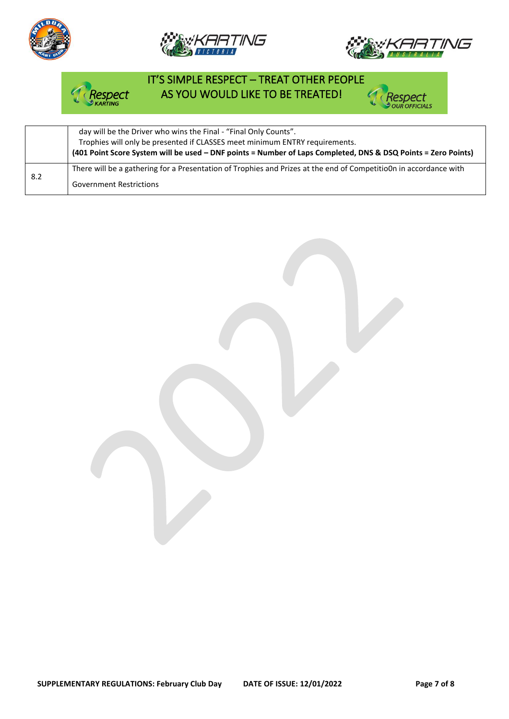







# IT'S SIMPLE RESPECT – TREAT OTHER PEOPLE AS YOU WOULD LIKE TO BE TREATED!